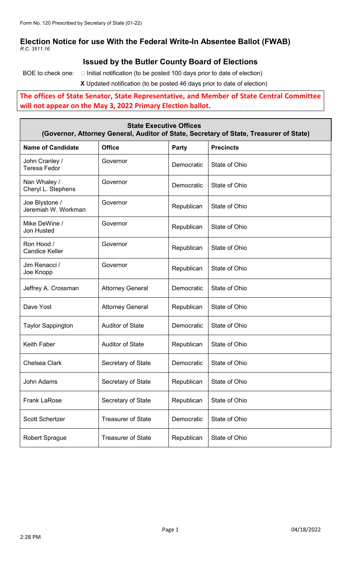## **Election Notice for use With the Federal Write-In Absentee Ballot (FWAB)** *R.C. 3511.16*

## **Issued by the Butler County Board of Elections**

BOE to check one:  $\Box$  Initial notification (to be posted 100 days prior to date of election) **X** Updated notification (to be posted 46 days prior to date of election)

**The offices of State Senator, State Representative, and Member of State Central Committee will not appear on the May 3, 2022 Primary Election ballot.**

| <b>State Executive Offices</b><br>(Governor, Attorney General, Auditor of State, Secretary of State, Treasurer of State) |                           |              |                  |  |
|--------------------------------------------------------------------------------------------------------------------------|---------------------------|--------------|------------------|--|
| <b>Name of Candidate</b>                                                                                                 | <b>Office</b>             | <b>Party</b> | <b>Precincts</b> |  |
| John Cranley /<br><b>Teresa Fedor</b>                                                                                    | Governor                  | Democratic   | State of Ohio    |  |
| Nan Whaley /<br>Cheryl L. Stephens                                                                                       | Governor                  | Democratic   | State of Ohio    |  |
| Joe Blystone /<br>Jeremiah W. Workman                                                                                    | Governor                  | Republican   | State of Ohio    |  |
| Mike DeWine /<br>Jon Husted                                                                                              | Governor                  | Republican   | State of Ohio    |  |
| Ron Hood /<br><b>Candice Keller</b>                                                                                      | Governor                  | Republican   | State of Ohio    |  |
| Jim Renacci /<br>Joe Knopp                                                                                               | Governor                  | Republican   | State of Ohio    |  |
| Jeffrey A. Crossman                                                                                                      | <b>Attorney General</b>   | Democratic   | State of Ohio    |  |
| Dave Yost                                                                                                                | <b>Attorney General</b>   | Republican   | State of Ohio    |  |
| <b>Taylor Sappington</b>                                                                                                 | <b>Auditor of State</b>   | Democratic   | State of Ohio    |  |
| Keith Faber                                                                                                              | <b>Auditor of State</b>   | Republican   | State of Ohio    |  |
| <b>Chelsea Clark</b>                                                                                                     | Secretary of State        | Democratic   | State of Ohio    |  |
| <b>John Adams</b>                                                                                                        | Secretary of State        | Republican   | State of Ohio    |  |
| <b>Frank LaRose</b>                                                                                                      | Secretary of State        | Republican   | State of Ohio    |  |
| <b>Scott Schertzer</b>                                                                                                   | <b>Treasurer of State</b> | Democratic   | State of Ohio    |  |
| <b>Robert Sprague</b>                                                                                                    | <b>Treasurer of State</b> | Republican   | State of Ohio    |  |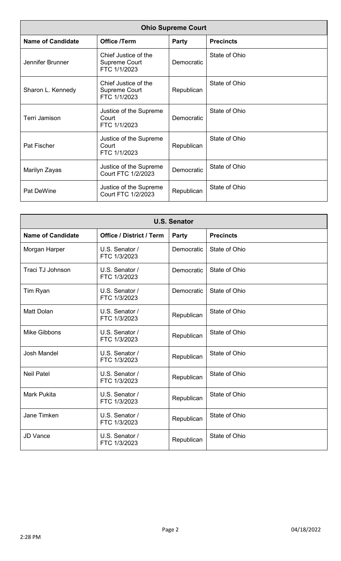| <b>Ohio Supreme Court</b> |                                                              |              |                  |  |
|---------------------------|--------------------------------------------------------------|--------------|------------------|--|
| <b>Name of Candidate</b>  | <b>Office /Term</b>                                          | <b>Party</b> | <b>Precincts</b> |  |
| Jennifer Brunner          | Chief Justice of the<br>Supreme Court<br>FTC 1/1/2023        | Democratic   | State of Ohio    |  |
| Sharon L. Kennedy         | Chief Justice of the<br><b>Supreme Court</b><br>FTC 1/1/2023 | Republican   | State of Ohio    |  |
| Terri Jamison             | Justice of the Supreme<br>Court<br>FTC 1/1/2023              | Democratic   | State of Ohio    |  |
| Pat Fischer               | Justice of the Supreme<br>Court<br>FTC 1/1/2023              | Republican   | State of Ohio    |  |
| Marilyn Zayas             | Justice of the Supreme<br><b>Court FTC 1/2/2023</b>          | Democratic   | State of Ohio    |  |
| Pat DeWine                | Justice of the Supreme<br><b>Court FTC 1/2/2023</b>          | Republican   | State of Ohio    |  |

| <b>U.S. Senator</b>      |                                 |            |                  |  |
|--------------------------|---------------------------------|------------|------------------|--|
| <b>Name of Candidate</b> | <b>Office / District / Term</b> | Party      | <b>Precincts</b> |  |
| Morgan Harper            | U.S. Senator /<br>FTC 1/3/2023  | Democratic | State of Ohio    |  |
| Traci TJ Johnson         | U.S. Senator /<br>FTC 1/3/2023  | Democratic | State of Ohio    |  |
| Tim Ryan                 | U.S. Senator /<br>FTC 1/3/2023  | Democratic | State of Ohio    |  |
| <b>Matt Dolan</b>        | U.S. Senator /<br>FTC 1/3/2023  | Republican | State of Ohio    |  |
| <b>Mike Gibbons</b>      | U.S. Senator /<br>FTC 1/3/2023  | Republican | State of Ohio    |  |
| <b>Josh Mandel</b>       | U.S. Senator /<br>FTC 1/3/2023  | Republican | State of Ohio    |  |
| <b>Neil Patel</b>        | U.S. Senator /<br>FTC 1/3/2023  | Republican | State of Ohio    |  |
| Mark Pukita              | U.S. Senator /<br>FTC 1/3/2023  | Republican | State of Ohio    |  |
| Jane Timken              | U.S. Senator /<br>FTC 1/3/2023  | Republican | State of Ohio    |  |
| <b>JD Vance</b>          | U.S. Senator /<br>FTC 1/3/2023  | Republican | State of Ohio    |  |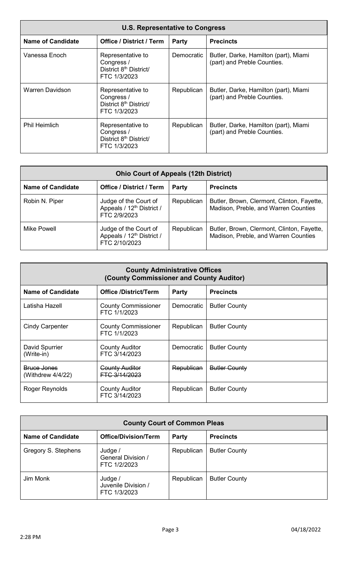| <b>U.S. Representative to Congress</b> |                                                                                       |                   |                                                                      |  |
|----------------------------------------|---------------------------------------------------------------------------------------|-------------------|----------------------------------------------------------------------|--|
| <b>Name of Candidate</b>               | <b>Office / District / Term</b>                                                       | <b>Party</b>      | <b>Precincts</b>                                                     |  |
| Vanessa Enoch                          | Representative to<br>Congress /<br>District 8 <sup>th</sup> District/<br>FTC 1/3/2023 | <b>Democratic</b> | Butler, Darke, Hamilton (part), Miami<br>(part) and Preble Counties. |  |
| <b>Warren Davidson</b>                 | Representative to<br>Congress /<br>District 8th District/<br>FTC 1/3/2023             | Republican        | Butler, Darke, Hamilton (part), Miami<br>(part) and Preble Counties. |  |
| <b>Phil Heimlich</b>                   | Representative to<br>Congress /<br>District 8 <sup>th</sup> District/<br>FTC 1/3/2023 | Republican        | Butler, Darke, Hamilton (part), Miami<br>(part) and Preble Counties. |  |

| <b>Ohio Court of Appeals (12th District)</b> |                                                                                 |            |                                                                                    |  |
|----------------------------------------------|---------------------------------------------------------------------------------|------------|------------------------------------------------------------------------------------|--|
| <b>Name of Candidate</b>                     | <b>Office / District / Term</b>                                                 | Party      | <b>Precincts</b>                                                                   |  |
| Robin N. Piper                               | Judge of the Court of<br>Appeals / 12 <sup>th</sup> District /<br>FTC 2/9/2023  | Republican | Butler, Brown, Clermont, Clinton, Fayette,<br>Madison, Preble, and Warren Counties |  |
| <b>Mike Powell</b>                           | Judge of the Court of<br>Appeals / 12 <sup>th</sup> District /<br>FTC 2/10/2023 | Republican | Butler, Brown, Clermont, Clinton, Fayette,<br>Madison, Preble, and Warren Counties |  |

| <b>County Administrative Offices</b><br>(County Commissioner and County Auditor) |                                            |                   |                      |  |
|----------------------------------------------------------------------------------|--------------------------------------------|-------------------|----------------------|--|
| <b>Name of Candidate</b>                                                         | <b>Office /District/Term</b>               | Party             | <b>Precincts</b>     |  |
| Latisha Hazell                                                                   | <b>County Commissioner</b><br>FTC 1/1/2023 | <b>Democratic</b> | <b>Butler County</b> |  |
| <b>Cindy Carpenter</b>                                                           | <b>County Commissioner</b><br>FTC 1/1/2023 | Republican        | <b>Butler County</b> |  |
| <b>David Spurrier</b><br>(Write-in)                                              | <b>County Auditor</b><br>FTC 3/14/2023     | <b>Democratic</b> | <b>Butler County</b> |  |
| Bruce Jones<br>(Withdrew 4/4/22)                                                 | <b>County Auditor</b><br>FTC 3/14/2023     | Republican        | <b>Butler County</b> |  |
| Roger Reynolds                                                                   | <b>County Auditor</b><br>FTC 3/14/2023     | Republican        | <b>Butler County</b> |  |

| <b>County Court of Common Pleas</b> |                                                      |              |                      |  |
|-------------------------------------|------------------------------------------------------|--------------|----------------------|--|
| <b>Name of Candidate</b>            | <b>Office/Division/Term</b>                          | <b>Party</b> | <b>Precincts</b>     |  |
| Gregory S. Stephens                 | Judge /<br><b>General Division /</b><br>FTC 1/2/2023 | Republican   | <b>Butler County</b> |  |
| Jim Monk                            | Judge /<br>Juvenile Division /<br>FTC 1/3/2023       | Republican   | <b>Butler County</b> |  |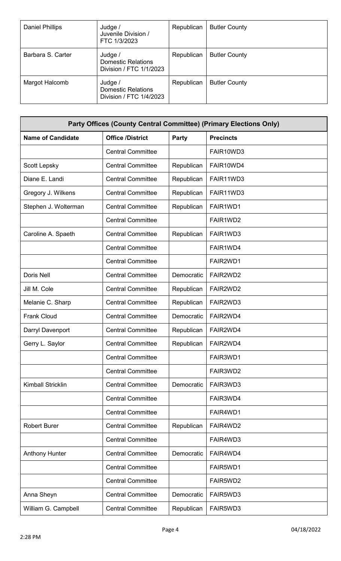| <b>Daniel Phillips</b> | Judge /<br>Juvenile Division /<br>FTC 1/3/2023                  | Republican | <b>Butler County</b> |
|------------------------|-----------------------------------------------------------------|------------|----------------------|
| Barbara S. Carter      | Judge /<br><b>Domestic Relations</b><br>Division / FTC 1/1/2023 | Republican | <b>Butler County</b> |
| Margot Halcomb         | Judge /<br><b>Domestic Relations</b><br>Division / FTC 1/4/2023 | Republican | <b>Butler County</b> |

| Party Offices (County Central Committee) (Primary Elections Only) |                          |            |                  |  |
|-------------------------------------------------------------------|--------------------------|------------|------------------|--|
| <b>Name of Candidate</b>                                          | <b>Office /District</b>  | Party      | <b>Precincts</b> |  |
|                                                                   | <b>Central Committee</b> |            | FAIR10WD3        |  |
| Scott Lepsky                                                      | <b>Central Committee</b> | Republican | FAIR10WD4        |  |
| Diane E. Landi                                                    | <b>Central Committee</b> | Republican | FAIR11WD3        |  |
| Gregory J. Wilkens                                                | <b>Central Committee</b> | Republican | FAIR11WD3        |  |
| Stephen J. Wolterman                                              | <b>Central Committee</b> | Republican | FAIR1WD1         |  |
|                                                                   | <b>Central Committee</b> |            | FAIR1WD2         |  |
| Caroline A. Spaeth                                                | <b>Central Committee</b> | Republican | FAIR1WD3         |  |
|                                                                   | <b>Central Committee</b> |            | FAIR1WD4         |  |
|                                                                   | <b>Central Committee</b> |            | FAIR2WD1         |  |
| Doris Nell                                                        | <b>Central Committee</b> | Democratic | FAIR2WD2         |  |
| Jill M. Cole                                                      | <b>Central Committee</b> | Republican | FAIR2WD2         |  |
| Melanie C. Sharp                                                  | <b>Central Committee</b> | Republican | FAIR2WD3         |  |
| <b>Frank Cloud</b>                                                | <b>Central Committee</b> | Democratic | FAIR2WD4         |  |
| Darryl Davenport                                                  | <b>Central Committee</b> | Republican | FAIR2WD4         |  |
| Gerry L. Saylor                                                   | <b>Central Committee</b> | Republican | FAIR2WD4         |  |
|                                                                   | <b>Central Committee</b> |            | FAIR3WD1         |  |
|                                                                   | <b>Central Committee</b> |            | FAIR3WD2         |  |
| <b>Kimball Stricklin</b>                                          | <b>Central Committee</b> | Democratic | FAIR3WD3         |  |
|                                                                   | <b>Central Committee</b> |            | FAIR3WD4         |  |
|                                                                   | <b>Central Committee</b> |            | FAIR4WD1         |  |
| <b>Robert Burer</b>                                               | <b>Central Committee</b> | Republican | FAIR4WD2         |  |
|                                                                   | <b>Central Committee</b> |            | FAIR4WD3         |  |
| <b>Anthony Hunter</b>                                             | <b>Central Committee</b> | Democratic | FAIR4WD4         |  |
|                                                                   | <b>Central Committee</b> |            | FAIR5WD1         |  |
|                                                                   | <b>Central Committee</b> |            | FAIR5WD2         |  |
| Anna Sheyn                                                        | <b>Central Committee</b> | Democratic | FAIR5WD3         |  |
| William G. Campbell                                               | <b>Central Committee</b> | Republican | FAIR5WD3         |  |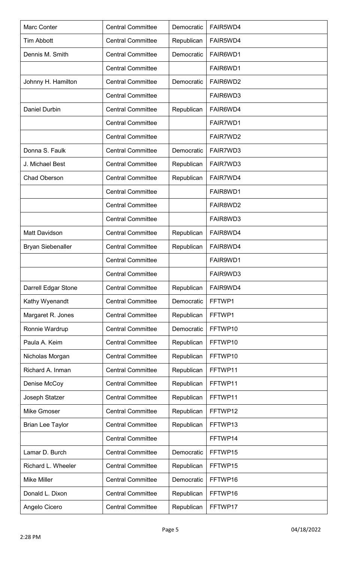| <b>Marc Conter</b>       | <b>Central Committee</b> | Democratic | FAIR5WD4 |
|--------------------------|--------------------------|------------|----------|
| <b>Tim Abbott</b>        | <b>Central Committee</b> | Republican | FAIR5WD4 |
| Dennis M. Smith          | <b>Central Committee</b> | Democratic | FAIR6WD1 |
|                          | <b>Central Committee</b> |            | FAIR6WD1 |
| Johnny H. Hamilton       | <b>Central Committee</b> | Democratic | FAIR6WD2 |
|                          | <b>Central Committee</b> |            | FAIR6WD3 |
| <b>Daniel Durbin</b>     | <b>Central Committee</b> | Republican | FAIR6WD4 |
|                          | <b>Central Committee</b> |            | FAIR7WD1 |
|                          | <b>Central Committee</b> |            | FAIR7WD2 |
| Donna S. Faulk           | <b>Central Committee</b> | Democratic | FAIR7WD3 |
| J. Michael Best          | <b>Central Committee</b> | Republican | FAIR7WD3 |
| <b>Chad Oberson</b>      | <b>Central Committee</b> | Republican | FAIR7WD4 |
|                          | <b>Central Committee</b> |            | FAIR8WD1 |
|                          | <b>Central Committee</b> |            | FAIR8WD2 |
|                          | <b>Central Committee</b> |            | FAIR8WD3 |
| <b>Matt Davidson</b>     | <b>Central Committee</b> | Republican | FAIR8WD4 |
| <b>Bryan Siebenaller</b> | <b>Central Committee</b> | Republican | FAIR8WD4 |
|                          | <b>Central Committee</b> |            | FAIR9WD1 |
|                          | <b>Central Committee</b> |            | FAIR9WD3 |
| Darrell Edgar Stone      | <b>Central Committee</b> | Republican | FAIR9WD4 |
| Kathy Wyenandt           | <b>Central Committee</b> | Democratic | FFTWP1   |
| Margaret R. Jones        | <b>Central Committee</b> | Republican | FFTWP1   |
| Ronnie Wardrup           | <b>Central Committee</b> | Democratic | FFTWP10  |
| Paula A. Keim            | <b>Central Committee</b> | Republican | FFTWP10  |
| Nicholas Morgan          | <b>Central Committee</b> | Republican | FFTWP10  |
| Richard A. Inman         | <b>Central Committee</b> | Republican | FFTWP11  |
| Denise McCoy             | <b>Central Committee</b> | Republican | FFTWP11  |
| Joseph Statzer           | <b>Central Committee</b> | Republican | FFTWP11  |
| <b>Mike Gmoser</b>       | <b>Central Committee</b> | Republican | FFTWP12  |
| <b>Brian Lee Taylor</b>  | <b>Central Committee</b> | Republican | FFTWP13  |
|                          | <b>Central Committee</b> |            | FFTWP14  |
| Lamar D. Burch           | <b>Central Committee</b> | Democratic | FFTWP15  |
| Richard L. Wheeler       | <b>Central Committee</b> | Republican | FFTWP15  |
| <b>Mike Miller</b>       | <b>Central Committee</b> | Democratic | FFTWP16  |
| Donald L. Dixon          | <b>Central Committee</b> | Republican | FFTWP16  |
| Angelo Cicero            | <b>Central Committee</b> | Republican | FFTWP17  |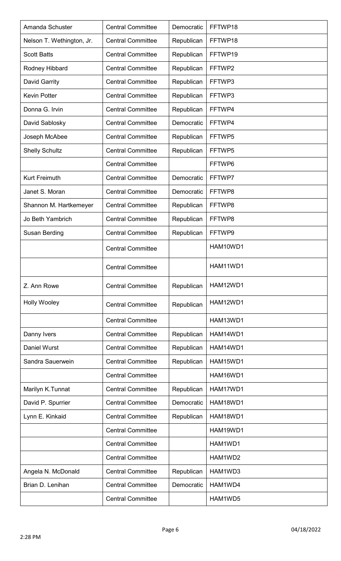| <b>Central Committee</b><br>Nelson T. Wethington, Jr.<br>Republican<br>FFTWP18<br><b>Scott Batts</b><br><b>Central Committee</b><br>Republican<br>FFTWP19<br><b>Central Committee</b><br>FFTWP2<br>Rodney Hibbard<br>Republican<br><b>Central Committee</b><br>David Garrity<br>Republican<br>FFTWP3<br><b>Central Committee</b><br>Republican<br><b>Kevin Potter</b><br>FFTWP3<br><b>Central Committee</b><br>Republican<br>Donna G. Irvin<br>FFTWP4<br><b>Central Committee</b><br>David Sablosky<br>Democratic<br>FFTWP4<br>Joseph McAbee<br><b>Central Committee</b><br>Republican<br>FFTWP5<br><b>Shelly Schultz</b><br><b>Central Committee</b><br>Republican<br>FFTWP5<br><b>Central Committee</b><br>FFTWP6<br><b>Kurt Freimuth</b><br><b>Central Committee</b><br>Democratic<br>FFTWP7<br>Janet S. Moran<br><b>Central Committee</b><br>Democratic<br>FFTWP8<br><b>Central Committee</b><br>Shannon M. Hartkemeyer<br>Republican<br>FFTWP8<br><b>Central Committee</b><br>Jo Beth Yambrich<br>Republican<br>FFTWP8<br><b>Central Committee</b><br><b>Susan Berding</b><br>Republican<br>FFTWP9<br>HAM10WD1<br><b>Central Committee</b><br>HAM11WD1<br><b>Central Committee</b><br>HAM12WD1<br>Z. Ann Rowe<br><b>Central Committee</b><br>Republican<br>HAM12WD1<br><b>Holly Wooley</b><br><b>Central Committee</b><br>Republican<br><b>Central Committee</b><br>HAM13WD1<br>Danny Ivers<br><b>Central Committee</b><br>Republican<br>HAM14WD1<br>Daniel Wurst<br><b>Central Committee</b><br>Republican<br>HAM14WD1<br>Sandra Sauerwein<br><b>Central Committee</b><br>Republican<br>HAM15WD1<br><b>Central Committee</b><br>HAM16WD1<br>Marilyn K.Tunnat<br><b>Central Committee</b><br>Republican<br>HAM17WD1<br><b>Central Committee</b><br>David P. Spurrier<br>Democratic<br>HAM18WD1<br><b>Central Committee</b><br>Lynn E. Kinkaid<br>Republican<br>HAM18WD1<br><b>Central Committee</b><br>HAM19WD1<br><b>Central Committee</b><br>HAM1WD1<br><b>Central Committee</b><br>HAM1WD2<br><b>Central Committee</b><br>Republican<br>HAM1WD3<br>Angela N. McDonald<br><b>Central Committee</b><br>Brian D. Lenihan<br>Democratic<br>HAM1WD4<br><b>Central Committee</b><br>HAM1WD5 | Amanda Schuster | <b>Central Committee</b> | Democratic | FFTWP18 |
|-----------------------------------------------------------------------------------------------------------------------------------------------------------------------------------------------------------------------------------------------------------------------------------------------------------------------------------------------------------------------------------------------------------------------------------------------------------------------------------------------------------------------------------------------------------------------------------------------------------------------------------------------------------------------------------------------------------------------------------------------------------------------------------------------------------------------------------------------------------------------------------------------------------------------------------------------------------------------------------------------------------------------------------------------------------------------------------------------------------------------------------------------------------------------------------------------------------------------------------------------------------------------------------------------------------------------------------------------------------------------------------------------------------------------------------------------------------------------------------------------------------------------------------------------------------------------------------------------------------------------------------------------------------------------------------------------------------------------------------------------------------------------------------------------------------------------------------------------------------------------------------------------------------------------------------------------------------------------------------------------------------------------------------------------------------------------------------------------------------------------------------------------------------------------------------------------|-----------------|--------------------------|------------|---------|
|                                                                                                                                                                                                                                                                                                                                                                                                                                                                                                                                                                                                                                                                                                                                                                                                                                                                                                                                                                                                                                                                                                                                                                                                                                                                                                                                                                                                                                                                                                                                                                                                                                                                                                                                                                                                                                                                                                                                                                                                                                                                                                                                                                                               |                 |                          |            |         |
|                                                                                                                                                                                                                                                                                                                                                                                                                                                                                                                                                                                                                                                                                                                                                                                                                                                                                                                                                                                                                                                                                                                                                                                                                                                                                                                                                                                                                                                                                                                                                                                                                                                                                                                                                                                                                                                                                                                                                                                                                                                                                                                                                                                               |                 |                          |            |         |
|                                                                                                                                                                                                                                                                                                                                                                                                                                                                                                                                                                                                                                                                                                                                                                                                                                                                                                                                                                                                                                                                                                                                                                                                                                                                                                                                                                                                                                                                                                                                                                                                                                                                                                                                                                                                                                                                                                                                                                                                                                                                                                                                                                                               |                 |                          |            |         |
|                                                                                                                                                                                                                                                                                                                                                                                                                                                                                                                                                                                                                                                                                                                                                                                                                                                                                                                                                                                                                                                                                                                                                                                                                                                                                                                                                                                                                                                                                                                                                                                                                                                                                                                                                                                                                                                                                                                                                                                                                                                                                                                                                                                               |                 |                          |            |         |
|                                                                                                                                                                                                                                                                                                                                                                                                                                                                                                                                                                                                                                                                                                                                                                                                                                                                                                                                                                                                                                                                                                                                                                                                                                                                                                                                                                                                                                                                                                                                                                                                                                                                                                                                                                                                                                                                                                                                                                                                                                                                                                                                                                                               |                 |                          |            |         |
|                                                                                                                                                                                                                                                                                                                                                                                                                                                                                                                                                                                                                                                                                                                                                                                                                                                                                                                                                                                                                                                                                                                                                                                                                                                                                                                                                                                                                                                                                                                                                                                                                                                                                                                                                                                                                                                                                                                                                                                                                                                                                                                                                                                               |                 |                          |            |         |
|                                                                                                                                                                                                                                                                                                                                                                                                                                                                                                                                                                                                                                                                                                                                                                                                                                                                                                                                                                                                                                                                                                                                                                                                                                                                                                                                                                                                                                                                                                                                                                                                                                                                                                                                                                                                                                                                                                                                                                                                                                                                                                                                                                                               |                 |                          |            |         |
|                                                                                                                                                                                                                                                                                                                                                                                                                                                                                                                                                                                                                                                                                                                                                                                                                                                                                                                                                                                                                                                                                                                                                                                                                                                                                                                                                                                                                                                                                                                                                                                                                                                                                                                                                                                                                                                                                                                                                                                                                                                                                                                                                                                               |                 |                          |            |         |
|                                                                                                                                                                                                                                                                                                                                                                                                                                                                                                                                                                                                                                                                                                                                                                                                                                                                                                                                                                                                                                                                                                                                                                                                                                                                                                                                                                                                                                                                                                                                                                                                                                                                                                                                                                                                                                                                                                                                                                                                                                                                                                                                                                                               |                 |                          |            |         |
|                                                                                                                                                                                                                                                                                                                                                                                                                                                                                                                                                                                                                                                                                                                                                                                                                                                                                                                                                                                                                                                                                                                                                                                                                                                                                                                                                                                                                                                                                                                                                                                                                                                                                                                                                                                                                                                                                                                                                                                                                                                                                                                                                                                               |                 |                          |            |         |
|                                                                                                                                                                                                                                                                                                                                                                                                                                                                                                                                                                                                                                                                                                                                                                                                                                                                                                                                                                                                                                                                                                                                                                                                                                                                                                                                                                                                                                                                                                                                                                                                                                                                                                                                                                                                                                                                                                                                                                                                                                                                                                                                                                                               |                 |                          |            |         |
|                                                                                                                                                                                                                                                                                                                                                                                                                                                                                                                                                                                                                                                                                                                                                                                                                                                                                                                                                                                                                                                                                                                                                                                                                                                                                                                                                                                                                                                                                                                                                                                                                                                                                                                                                                                                                                                                                                                                                                                                                                                                                                                                                                                               |                 |                          |            |         |
|                                                                                                                                                                                                                                                                                                                                                                                                                                                                                                                                                                                                                                                                                                                                                                                                                                                                                                                                                                                                                                                                                                                                                                                                                                                                                                                                                                                                                                                                                                                                                                                                                                                                                                                                                                                                                                                                                                                                                                                                                                                                                                                                                                                               |                 |                          |            |         |
|                                                                                                                                                                                                                                                                                                                                                                                                                                                                                                                                                                                                                                                                                                                                                                                                                                                                                                                                                                                                                                                                                                                                                                                                                                                                                                                                                                                                                                                                                                                                                                                                                                                                                                                                                                                                                                                                                                                                                                                                                                                                                                                                                                                               |                 |                          |            |         |
|                                                                                                                                                                                                                                                                                                                                                                                                                                                                                                                                                                                                                                                                                                                                                                                                                                                                                                                                                                                                                                                                                                                                                                                                                                                                                                                                                                                                                                                                                                                                                                                                                                                                                                                                                                                                                                                                                                                                                                                                                                                                                                                                                                                               |                 |                          |            |         |
|                                                                                                                                                                                                                                                                                                                                                                                                                                                                                                                                                                                                                                                                                                                                                                                                                                                                                                                                                                                                                                                                                                                                                                                                                                                                                                                                                                                                                                                                                                                                                                                                                                                                                                                                                                                                                                                                                                                                                                                                                                                                                                                                                                                               |                 |                          |            |         |
|                                                                                                                                                                                                                                                                                                                                                                                                                                                                                                                                                                                                                                                                                                                                                                                                                                                                                                                                                                                                                                                                                                                                                                                                                                                                                                                                                                                                                                                                                                                                                                                                                                                                                                                                                                                                                                                                                                                                                                                                                                                                                                                                                                                               |                 |                          |            |         |
|                                                                                                                                                                                                                                                                                                                                                                                                                                                                                                                                                                                                                                                                                                                                                                                                                                                                                                                                                                                                                                                                                                                                                                                                                                                                                                                                                                                                                                                                                                                                                                                                                                                                                                                                                                                                                                                                                                                                                                                                                                                                                                                                                                                               |                 |                          |            |         |
|                                                                                                                                                                                                                                                                                                                                                                                                                                                                                                                                                                                                                                                                                                                                                                                                                                                                                                                                                                                                                                                                                                                                                                                                                                                                                                                                                                                                                                                                                                                                                                                                                                                                                                                                                                                                                                                                                                                                                                                                                                                                                                                                                                                               |                 |                          |            |         |
|                                                                                                                                                                                                                                                                                                                                                                                                                                                                                                                                                                                                                                                                                                                                                                                                                                                                                                                                                                                                                                                                                                                                                                                                                                                                                                                                                                                                                                                                                                                                                                                                                                                                                                                                                                                                                                                                                                                                                                                                                                                                                                                                                                                               |                 |                          |            |         |
|                                                                                                                                                                                                                                                                                                                                                                                                                                                                                                                                                                                                                                                                                                                                                                                                                                                                                                                                                                                                                                                                                                                                                                                                                                                                                                                                                                                                                                                                                                                                                                                                                                                                                                                                                                                                                                                                                                                                                                                                                                                                                                                                                                                               |                 |                          |            |         |
|                                                                                                                                                                                                                                                                                                                                                                                                                                                                                                                                                                                                                                                                                                                                                                                                                                                                                                                                                                                                                                                                                                                                                                                                                                                                                                                                                                                                                                                                                                                                                                                                                                                                                                                                                                                                                                                                                                                                                                                                                                                                                                                                                                                               |                 |                          |            |         |
|                                                                                                                                                                                                                                                                                                                                                                                                                                                                                                                                                                                                                                                                                                                                                                                                                                                                                                                                                                                                                                                                                                                                                                                                                                                                                                                                                                                                                                                                                                                                                                                                                                                                                                                                                                                                                                                                                                                                                                                                                                                                                                                                                                                               |                 |                          |            |         |
|                                                                                                                                                                                                                                                                                                                                                                                                                                                                                                                                                                                                                                                                                                                                                                                                                                                                                                                                                                                                                                                                                                                                                                                                                                                                                                                                                                                                                                                                                                                                                                                                                                                                                                                                                                                                                                                                                                                                                                                                                                                                                                                                                                                               |                 |                          |            |         |
|                                                                                                                                                                                                                                                                                                                                                                                                                                                                                                                                                                                                                                                                                                                                                                                                                                                                                                                                                                                                                                                                                                                                                                                                                                                                                                                                                                                                                                                                                                                                                                                                                                                                                                                                                                                                                                                                                                                                                                                                                                                                                                                                                                                               |                 |                          |            |         |
|                                                                                                                                                                                                                                                                                                                                                                                                                                                                                                                                                                                                                                                                                                                                                                                                                                                                                                                                                                                                                                                                                                                                                                                                                                                                                                                                                                                                                                                                                                                                                                                                                                                                                                                                                                                                                                                                                                                                                                                                                                                                                                                                                                                               |                 |                          |            |         |
|                                                                                                                                                                                                                                                                                                                                                                                                                                                                                                                                                                                                                                                                                                                                                                                                                                                                                                                                                                                                                                                                                                                                                                                                                                                                                                                                                                                                                                                                                                                                                                                                                                                                                                                                                                                                                                                                                                                                                                                                                                                                                                                                                                                               |                 |                          |            |         |
|                                                                                                                                                                                                                                                                                                                                                                                                                                                                                                                                                                                                                                                                                                                                                                                                                                                                                                                                                                                                                                                                                                                                                                                                                                                                                                                                                                                                                                                                                                                                                                                                                                                                                                                                                                                                                                                                                                                                                                                                                                                                                                                                                                                               |                 |                          |            |         |
|                                                                                                                                                                                                                                                                                                                                                                                                                                                                                                                                                                                                                                                                                                                                                                                                                                                                                                                                                                                                                                                                                                                                                                                                                                                                                                                                                                                                                                                                                                                                                                                                                                                                                                                                                                                                                                                                                                                                                                                                                                                                                                                                                                                               |                 |                          |            |         |
|                                                                                                                                                                                                                                                                                                                                                                                                                                                                                                                                                                                                                                                                                                                                                                                                                                                                                                                                                                                                                                                                                                                                                                                                                                                                                                                                                                                                                                                                                                                                                                                                                                                                                                                                                                                                                                                                                                                                                                                                                                                                                                                                                                                               |                 |                          |            |         |
|                                                                                                                                                                                                                                                                                                                                                                                                                                                                                                                                                                                                                                                                                                                                                                                                                                                                                                                                                                                                                                                                                                                                                                                                                                                                                                                                                                                                                                                                                                                                                                                                                                                                                                                                                                                                                                                                                                                                                                                                                                                                                                                                                                                               |                 |                          |            |         |
|                                                                                                                                                                                                                                                                                                                                                                                                                                                                                                                                                                                                                                                                                                                                                                                                                                                                                                                                                                                                                                                                                                                                                                                                                                                                                                                                                                                                                                                                                                                                                                                                                                                                                                                                                                                                                                                                                                                                                                                                                                                                                                                                                                                               |                 |                          |            |         |
|                                                                                                                                                                                                                                                                                                                                                                                                                                                                                                                                                                                                                                                                                                                                                                                                                                                                                                                                                                                                                                                                                                                                                                                                                                                                                                                                                                                                                                                                                                                                                                                                                                                                                                                                                                                                                                                                                                                                                                                                                                                                                                                                                                                               |                 |                          |            |         |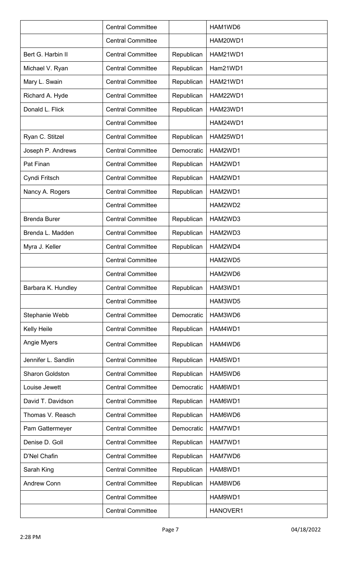|                        | <b>Central Committee</b> |            | HAM1WD6  |
|------------------------|--------------------------|------------|----------|
|                        | <b>Central Committee</b> |            | HAM20WD1 |
| Bert G. Harbin II      | <b>Central Committee</b> | Republican | HAM21WD1 |
| Michael V. Ryan        | <b>Central Committee</b> | Republican | Ham21WD1 |
| Mary L. Swain          | <b>Central Committee</b> | Republican | HAM21WD1 |
| Richard A. Hyde        | <b>Central Committee</b> | Republican | HAM22WD1 |
| Donald L. Flick        | <b>Central Committee</b> | Republican | HAM23WD1 |
|                        | <b>Central Committee</b> |            | HAM24WD1 |
| Ryan C. Stitzel        | <b>Central Committee</b> | Republican | HAM25WD1 |
| Joseph P. Andrews      | <b>Central Committee</b> | Democratic | HAM2WD1  |
| <b>Pat Finan</b>       | <b>Central Committee</b> | Republican | HAM2WD1  |
| Cyndi Fritsch          | <b>Central Committee</b> | Republican | HAM2WD1  |
| Nancy A. Rogers        | <b>Central Committee</b> | Republican | HAM2WD1  |
|                        | <b>Central Committee</b> |            | HAM2WD2  |
| <b>Brenda Burer</b>    | <b>Central Committee</b> | Republican | HAM2WD3  |
| Brenda L. Madden       | <b>Central Committee</b> | Republican | HAM2WD3  |
| Myra J. Keller         | <b>Central Committee</b> | Republican | HAM2WD4  |
|                        | <b>Central Committee</b> |            | HAM2WD5  |
|                        | <b>Central Committee</b> |            | HAM2WD6  |
| Barbara K. Hundley     | <b>Central Committee</b> | Republican | HAM3WD1  |
|                        | <b>Central Committee</b> |            | HAM3WD5  |
| Stephanie Webb         | <b>Central Committee</b> | Democratic | HAM3WD6  |
| <b>Kelly Heile</b>     | <b>Central Committee</b> | Republican | HAM4WD1  |
| Angie Myers            | <b>Central Committee</b> | Republican | HAM4WD6  |
| Jennifer L. Sandlin    | <b>Central Committee</b> | Republican | HAM5WD1  |
| <b>Sharon Goldston</b> | <b>Central Committee</b> | Republican | HAM5WD6  |
| Louise Jewett          | <b>Central Committee</b> | Democratic | HAM6WD1  |
| David T. Davidson      | <b>Central Committee</b> | Republican | HAM6WD1  |
| Thomas V. Reasch       | <b>Central Committee</b> | Republican | HAM6WD6  |
| Pam Gattermeyer        | <b>Central Committee</b> | Democratic | HAM7WD1  |
| Denise D. Goll         | <b>Central Committee</b> | Republican | HAM7WD1  |
| D'Nel Chafin           | <b>Central Committee</b> | Republican | HAM7WD6  |
| Sarah King             | <b>Central Committee</b> | Republican | HAM8WD1  |
| <b>Andrew Conn</b>     | <b>Central Committee</b> | Republican | HAM8WD6  |
|                        | <b>Central Committee</b> |            | HAM9WD1  |
|                        | <b>Central Committee</b> |            | HANOVER1 |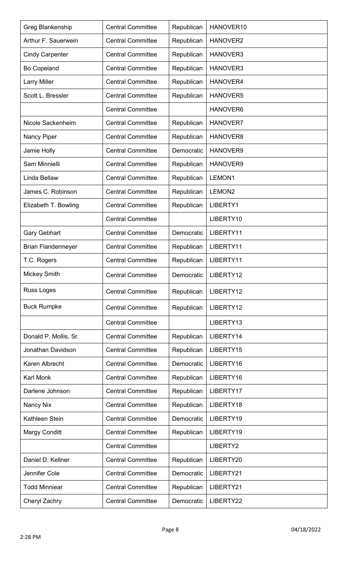| Greg Blankenship          | <b>Central Committee</b> | Republican | HANOVER10          |
|---------------------------|--------------------------|------------|--------------------|
| Arthur F. Sauerwein       | <b>Central Committee</b> | Republican | HANOVER2           |
| <b>Cindy Carpenter</b>    | <b>Central Committee</b> | Republican | HANOVER3           |
| <b>Bo Copeland</b>        | <b>Central Committee</b> | Republican | HANOVER3           |
| <b>Larry Miller</b>       | <b>Central Committee</b> | Republican | HANOVER4           |
| Scott L. Bressler         | <b>Central Committee</b> | Republican | <b>HANOVER5</b>    |
|                           | <b>Central Committee</b> |            | HANOVER6           |
| Nicole Sackenheim         | <b>Central Committee</b> | Republican | HANOVER7           |
| Nancy Piper               | <b>Central Committee</b> | Republican | HANOVER8           |
| Jamie Holly               | <b>Central Committee</b> | Democratic | HANOVER9           |
| Sam Minnielli             | <b>Central Committee</b> | Republican | HANOVER9           |
| Linda Bellaw              | <b>Central Committee</b> | Republican | LEMON1             |
| James C. Robinson         | <b>Central Committee</b> | Republican | LEMON <sub>2</sub> |
| Elizabeth T. Bowling      | <b>Central Committee</b> | Republican | LIBERTY1           |
|                           | <b>Central Committee</b> |            | LIBERTY10          |
| <b>Gary Gebhart</b>       | <b>Central Committee</b> | Democratic | LIBERTY11          |
| <b>Brian Flandermeyer</b> | <b>Central Committee</b> | Republican | LIBERTY11          |
| T.C. Rogers               | <b>Central Committee</b> | Republican | LIBERTY11          |
| <b>Mickey Smith</b>       | <b>Central Committee</b> | Democratic | LIBERTY12          |
| <b>Russ Loges</b>         | <b>Central Committee</b> | Republican | LIBERTY12          |
| <b>Buck Rumpke</b>        | <b>Central Committee</b> | Republican | LIBERTY12          |
|                           | <b>Central Committee</b> |            | LIBERTY13          |
| Donald P. Mollis, Sr.     | <b>Central Committee</b> | Republican | LIBERTY14          |
| Jonathan Davidson         | <b>Central Committee</b> | Republican | LIBERTY15          |
| Karen Albrecht            | <b>Central Committee</b> | Democratic | LIBERTY16          |
| <b>Karl Monk</b>          | <b>Central Committee</b> | Republican | LIBERTY16          |
| Darlene Johnson           | <b>Central Committee</b> | Republican | LIBERTY17          |
| Nancy Nix                 | <b>Central Committee</b> | Republican | LIBERTY18          |
| Kathleen Stein            | <b>Central Committee</b> | Democratic | LIBERTY19          |
| <b>Margy Conditt</b>      | <b>Central Committee</b> | Republican | LIBERTY19          |
|                           | <b>Central Committee</b> |            | LIBERTY2           |
| Daniel D. Kellner         | <b>Central Committee</b> | Republican | LIBERTY20          |
| Jennifer Cole             | <b>Central Committee</b> | Democratic | LIBERTY21          |
| <b>Todd Minniear</b>      | <b>Central Committee</b> | Republican | LIBERTY21          |
| Cheryl Zachry             | <b>Central Committee</b> | Democratic | LIBERTY22          |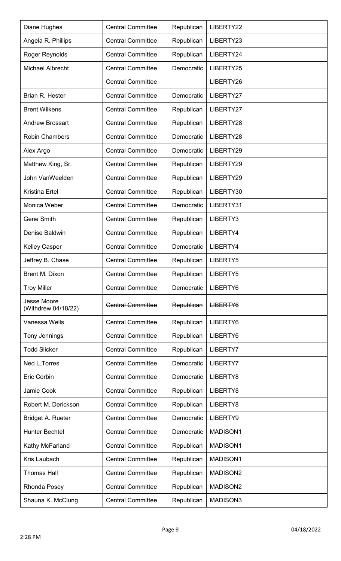| Diane Hughes                       | <b>Central Committee</b> | Republican | LIBERTY22       |
|------------------------------------|--------------------------|------------|-----------------|
| Angela R. Phillips                 | <b>Central Committee</b> | Republican | LIBERTY23       |
| Roger Reynolds                     | <b>Central Committee</b> | Republican | LIBERTY24       |
| <b>Michael Albrecht</b>            | <b>Central Committee</b> | Democratic | LIBERTY25       |
|                                    | <b>Central Committee</b> |            | LIBERTY26       |
| Brian R. Hester                    | <b>Central Committee</b> | Democratic | LIBERTY27       |
| <b>Brent Wilkens</b>               | <b>Central Committee</b> | Republican | LIBERTY27       |
| <b>Andrew Brossart</b>             | <b>Central Committee</b> | Republican | LIBERTY28       |
| <b>Robin Chambers</b>              | <b>Central Committee</b> | Democratic | LIBERTY28       |
| Alex Argo                          | <b>Central Committee</b> | Democratic | LIBERTY29       |
| Matthew King, Sr.                  | <b>Central Committee</b> | Republican | LIBERTY29       |
| John VanWeelden                    | <b>Central Committee</b> | Republican | LIBERTY29       |
| <b>Kristina Ertel</b>              | <b>Central Committee</b> | Republican | LIBERTY30       |
| Monica Weber                       | <b>Central Committee</b> | Democratic | LIBERTY31       |
| <b>Gene Smith</b>                  | <b>Central Committee</b> | Republican | LIBERTY3        |
| Denise Baldwin                     | <b>Central Committee</b> | Republican | LIBERTY4        |
| <b>Kelley Casper</b>               | <b>Central Committee</b> | Democratic | LIBERTY4        |
| Jeffrey B. Chase                   | <b>Central Committee</b> | Republican | LIBERTY5        |
| Brent M. Dixon                     | <b>Central Committee</b> | Republican | LIBERTY5        |
| <b>Troy Miller</b>                 | <b>Central Committee</b> | Democratic | LIBERTY6        |
| Jesse Moore<br>(Withdrew 04/18/22) | <b>Central Committee</b> | Republican | LIBERTY6        |
| Vanessa Wells                      | <b>Central Committee</b> | Republican | LIBERTY6        |
| <b>Tony Jennings</b>               | <b>Central Committee</b> | Republican | LIBERTY6        |
| <b>Todd Slicker</b>                | <b>Central Committee</b> | Republican | LIBERTY7        |
| Ned L.Torres                       | <b>Central Committee</b> | Democratic | LIBERTY7        |
| <b>Eric Corbin</b>                 | <b>Central Committee</b> | Democratic | LIBERTY8        |
| Jamie Cook                         | <b>Central Committee</b> | Republican | LIBERTY8        |
| Robert M. Derickson                | <b>Central Committee</b> | Republican | LIBERTY8        |
| <b>Bridget A. Rueter</b>           | <b>Central Committee</b> | Democratic | LIBERTY9        |
| <b>Hunter Bechtel</b>              | <b>Central Committee</b> | Democratic | <b>MADISON1</b> |
| Kathy McFarland                    | <b>Central Committee</b> | Republican | <b>MADISON1</b> |
| Kris Laubach                       | <b>Central Committee</b> | Republican | <b>MADISON1</b> |
| <b>Thomas Hall</b>                 | <b>Central Committee</b> | Republican | MADISON2        |
| Rhonda Posey                       | <b>Central Committee</b> | Republican | MADISON2        |
| Shauna K. McClung                  | <b>Central Committee</b> | Republican | MADISON3        |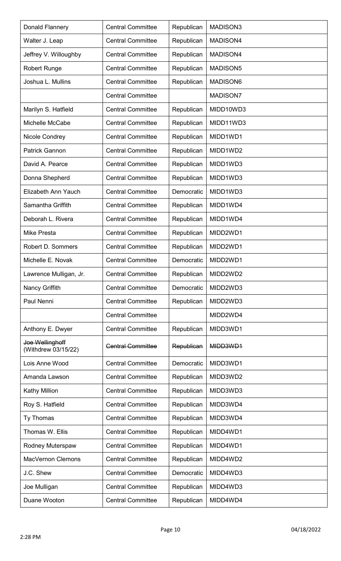| Donald Flannery                        | <b>Central Committee</b> | Republican | <b>MADISON3</b> |
|----------------------------------------|--------------------------|------------|-----------------|
| Walter J. Leap                         | <b>Central Committee</b> | Republican | MADISON4        |
| Jeffrey V. Willoughby                  | <b>Central Committee</b> | Republican | MADISON4        |
| <b>Robert Runge</b>                    | <b>Central Committee</b> | Republican | <b>MADISON5</b> |
| Joshua L. Mullins                      | <b>Central Committee</b> | Republican | MADISON6        |
|                                        | <b>Central Committee</b> |            | <b>MADISON7</b> |
| Marilyn S. Hatfield                    | <b>Central Committee</b> | Republican | MIDD10WD3       |
| Michelle McCabe                        | <b>Central Committee</b> | Republican | MIDD11WD3       |
| <b>Nicole Condrey</b>                  | <b>Central Committee</b> | Republican | MIDD1WD1        |
| <b>Patrick Gannon</b>                  | <b>Central Committee</b> | Republican | MIDD1WD2        |
| David A. Pearce                        | <b>Central Committee</b> | Republican | MIDD1WD3        |
| Donna Shepherd                         | <b>Central Committee</b> | Republican | MIDD1WD3        |
| Elizabeth Ann Yauch                    | <b>Central Committee</b> | Democratic | MIDD1WD3        |
| Samantha Griffith                      | <b>Central Committee</b> | Republican | MIDD1WD4        |
| Deborah L. Rivera                      | <b>Central Committee</b> | Republican | MIDD1WD4        |
| <b>Mike Presta</b>                     | <b>Central Committee</b> | Republican | MIDD2WD1        |
| Robert D. Sommers                      | <b>Central Committee</b> | Republican | MIDD2WD1        |
| Michelle E. Novak                      | <b>Central Committee</b> | Democratic | MIDD2WD1        |
| Lawrence Mulligan, Jr.                 | <b>Central Committee</b> | Republican | MIDD2WD2        |
| Nancy Griffith                         | <b>Central Committee</b> | Democratic | MIDD2WD3        |
| Paul Nenni                             | <b>Central Committee</b> | Republican | MIDD2WD3        |
|                                        | <b>Central Committee</b> |            | MIDD2WD4        |
| Anthony E. Dwyer                       | <b>Central Committee</b> | Republican | MIDD3WD1        |
| Joe Wellinghoff<br>(Withdrew 03/15/22) | <b>Central Committee</b> | Republican | MIDD3WD1        |
| Lois Anne Wood                         | <b>Central Committee</b> | Democratic | MIDD3WD1        |
| Amanda Lawson                          | <b>Central Committee</b> | Republican | MIDD3WD2        |
| <b>Kathy Million</b>                   | <b>Central Committee</b> | Republican | MIDD3WD3        |
| Roy S. Hatfield                        | <b>Central Committee</b> | Republican | MIDD3WD4        |
| Ty Thomas                              | <b>Central Committee</b> | Republican | MIDD3WD4        |
| Thomas W. Ellis                        | <b>Central Committee</b> | Republican | MIDD4WD1        |
| Rodney Muterspaw                       | <b>Central Committee</b> | Republican | MIDD4WD1        |
| <b>MacVernon Clemons</b>               | <b>Central Committee</b> | Republican | MIDD4WD2        |
| J.C. Shew                              | <b>Central Committee</b> | Democratic | MIDD4WD3        |
| Joe Mulligan                           | <b>Central Committee</b> | Republican | MIDD4WD3        |
| Duane Wooton                           | <b>Central Committee</b> | Republican | MIDD4WD4        |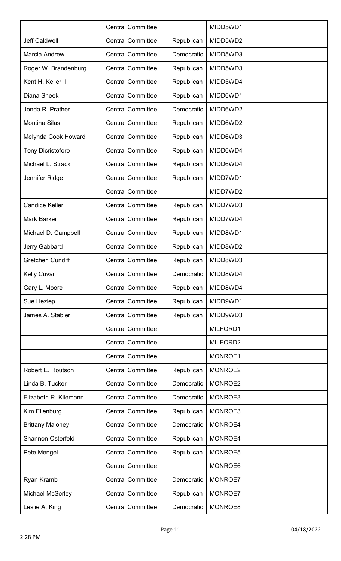|                          | <b>Central Committee</b> |            | MIDD5WD1 |
|--------------------------|--------------------------|------------|----------|
| <b>Jeff Caldwell</b>     | <b>Central Committee</b> | Republican | MIDD5WD2 |
| Marcia Andrew            | <b>Central Committee</b> | Democratic | MIDD5WD3 |
| Roger W. Brandenburg     | <b>Central Committee</b> | Republican | MIDD5WD3 |
| Kent H. Keller II        | <b>Central Committee</b> | Republican | MIDD5WD4 |
| Diana Sheek              | <b>Central Committee</b> | Republican | MIDD6WD1 |
| Jonda R. Prather         | <b>Central Committee</b> | Democratic | MIDD6WD2 |
| <b>Montina Silas</b>     | <b>Central Committee</b> | Republican | MIDD6WD2 |
| Melynda Cook Howard      | <b>Central Committee</b> | Republican | MIDD6WD3 |
| <b>Tony Dicristoforo</b> | <b>Central Committee</b> | Republican | MIDD6WD4 |
| Michael L. Strack        | <b>Central Committee</b> | Republican | MIDD6WD4 |
| Jennifer Ridge           | <b>Central Committee</b> | Republican | MIDD7WD1 |
|                          | <b>Central Committee</b> |            | MIDD7WD2 |
| <b>Candice Keller</b>    | <b>Central Committee</b> | Republican | MIDD7WD3 |
| <b>Mark Barker</b>       | <b>Central Committee</b> | Republican | MIDD7WD4 |
| Michael D. Campbell      | <b>Central Committee</b> | Republican | MIDD8WD1 |
| Jerry Gabbard            | <b>Central Committee</b> | Republican | MIDD8WD2 |
| <b>Gretchen Cundiff</b>  | <b>Central Committee</b> | Republican | MIDD8WD3 |
| <b>Kelly Cuvar</b>       | <b>Central Committee</b> | Democratic | MIDD8WD4 |
| Gary L. Moore            | <b>Central Committee</b> | Republican | MIDD8WD4 |
| Sue Hezlep               | <b>Central Committee</b> | Republican | MIDD9WD1 |
| James A. Stabler         | <b>Central Committee</b> | Republican | MIDD9WD3 |
|                          | <b>Central Committee</b> |            | MILFORD1 |
|                          | <b>Central Committee</b> |            | MILFORD2 |
|                          | <b>Central Committee</b> |            | MONROE1  |
| Robert E. Routson        | <b>Central Committee</b> | Republican | MONROE2  |
| Linda B. Tucker          | <b>Central Committee</b> | Democratic | MONROE2  |
| Elizabeth R. Kliemann    | <b>Central Committee</b> | Democratic | MONROE3  |
| Kim Ellenburg            | <b>Central Committee</b> | Republican | MONROE3  |
| <b>Brittany Maloney</b>  | <b>Central Committee</b> | Democratic | MONROE4  |
| <b>Shannon Osterfeld</b> | <b>Central Committee</b> | Republican | MONROE4  |
| Pete Mengel              | <b>Central Committee</b> | Republican | MONROE5  |
|                          | <b>Central Committee</b> |            | MONROE6  |
| Ryan Kramb               | <b>Central Committee</b> | Democratic | MONROE7  |
| <b>Michael McSorley</b>  | <b>Central Committee</b> | Republican | MONROE7  |
| Leslie A. King           | <b>Central Committee</b> | Democratic | MONROE8  |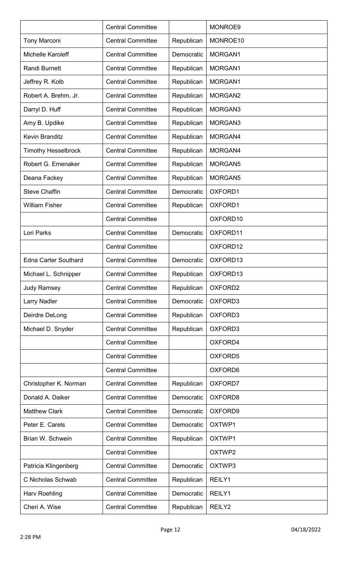|                             | <b>Central Committee</b> |            | MONROE9             |
|-----------------------------|--------------------------|------------|---------------------|
| <b>Tony Marconi</b>         | <b>Central Committee</b> | Republican | MONROE10            |
| <b>Michelle Karoleff</b>    | <b>Central Committee</b> | Democratic | MORGAN1             |
| <b>Randi Burnett</b>        | <b>Central Committee</b> | Republican | MORGAN1             |
| Jeffrey R. Kolb             | <b>Central Committee</b> | Republican | MORGAN1             |
| Robert A. Brehm, Jr.        | <b>Central Committee</b> | Republican | MORGAN2             |
| Darryl D. Huff              | <b>Central Committee</b> | Republican | MORGAN3             |
| Amy B. Updike               | <b>Central Committee</b> | Republican | MORGAN3             |
| <b>Kevin Branditz</b>       | <b>Central Committee</b> | Republican | MORGAN4             |
| <b>Timothy Hesselbrock</b>  | <b>Central Committee</b> | Republican | MORGAN4             |
| Robert G. Emenaker          | <b>Central Committee</b> | Republican | MORGAN <sub>5</sub> |
| Deana Fackey                | <b>Central Committee</b> | Republican | MORGAN <sub>5</sub> |
| <b>Steve Chaffin</b>        | <b>Central Committee</b> | Democratic | OXFORD1             |
| <b>William Fisher</b>       | <b>Central Committee</b> | Republican | OXFORD1             |
|                             | <b>Central Committee</b> |            | OXFORD10            |
| Lori Parks                  | <b>Central Committee</b> | Democratic | OXFORD11            |
|                             | <b>Central Committee</b> |            | OXFORD12            |
| <b>Edna Carter Southard</b> | <b>Central Committee</b> | Democratic | OXFORD13            |
| Michael L. Schnipper        | <b>Central Committee</b> | Republican | OXFORD13            |
| <b>Judy Ramsey</b>          | <b>Central Committee</b> | Republican | OXFORD2             |
| <b>Larry Nadler</b>         | <b>Central Committee</b> | Democratic | OXFORD3             |
| Deirdre DeLong              | <b>Central Committee</b> | Republican | OXFORD3             |
| Michael D. Snyder           | <b>Central Committee</b> | Republican | OXFORD3             |
|                             | <b>Central Committee</b> |            | OXFORD4             |
|                             | <b>Central Committee</b> |            | OXFORD5             |
|                             | <b>Central Committee</b> |            | OXFORD6             |
| Christopher K. Norman       | <b>Central Committee</b> | Republican | OXFORD7             |
| Donald A. Daiker            | <b>Central Committee</b> | Democratic | OXFORD8             |
| <b>Matthew Clark</b>        | <b>Central Committee</b> | Democratic | OXFORD9             |
| Peter E. Carels             | <b>Central Committee</b> | Democratic | OXTWP1              |
| Brian W. Schwein            | <b>Central Committee</b> | Republican | OXTWP1              |
|                             | <b>Central Committee</b> |            | OXTWP2              |
| Patricia Klingenberg        | <b>Central Committee</b> | Democratic | OXTWP3              |
| C Nicholas Schwab           | <b>Central Committee</b> | Republican | REILY1              |
| Harv Roehling               | <b>Central Committee</b> | Democratic | REILY1              |
| Cheri A. Wise               | <b>Central Committee</b> | Republican | REILY2              |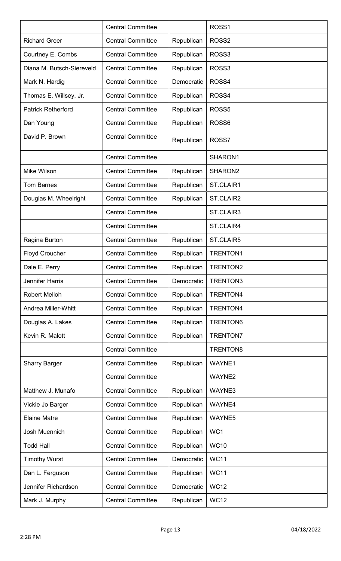|                           | <b>Central Committee</b> |            | ROSS <sub>1</sub>   |
|---------------------------|--------------------------|------------|---------------------|
| <b>Richard Greer</b>      | <b>Central Committee</b> | Republican | ROSS <sub>2</sub>   |
| Courtney E. Combs         | <b>Central Committee</b> | Republican | ROSS3               |
| Diana M. Butsch-Siereveld | <b>Central Committee</b> | Republican | ROSS3               |
| Mark N. Hardig            | <b>Central Committee</b> | Democratic | ROSS4               |
| Thomas E. Willsey, Jr.    | <b>Central Committee</b> | Republican | ROSS4               |
| <b>Patrick Retherford</b> | <b>Central Committee</b> | Republican | ROSS <sub>5</sub>   |
| Dan Young                 | <b>Central Committee</b> | Republican | ROSS <sub>6</sub>   |
| David P. Brown            | <b>Central Committee</b> | Republican | ROSS7               |
|                           | <b>Central Committee</b> |            | SHARON1             |
| <b>Mike Wilson</b>        | <b>Central Committee</b> | Republican | SHARON <sub>2</sub> |
| <b>Tom Barnes</b>         | <b>Central Committee</b> | Republican | ST.CLAIR1           |
| Douglas M. Wheelright     | <b>Central Committee</b> | Republican | ST.CLAIR2           |
|                           | <b>Central Committee</b> |            | ST.CLAIR3           |
|                           | <b>Central Committee</b> |            | ST.CLAIR4           |
| Ragina Burton             | <b>Central Committee</b> | Republican | ST.CLAIR5           |
| <b>Floyd Croucher</b>     | <b>Central Committee</b> | Republican | <b>TRENTON1</b>     |
| Dale E. Perry             | <b>Central Committee</b> | Republican | TRENTON2            |
| <b>Jennifer Harris</b>    | <b>Central Committee</b> | Democratic | <b>TRENTON3</b>     |
| <b>Robert Melloh</b>      | <b>Central Committee</b> | Republican | <b>TRENTON4</b>     |
| Andrea Miller-Whitt       | <b>Central Committee</b> | Republican | <b>TRENTON4</b>     |
| Douglas A. Lakes          | <b>Central Committee</b> | Republican | <b>TRENTON6</b>     |
| Kevin R. Malott           | <b>Central Committee</b> | Republican | <b>TRENTON7</b>     |
|                           | <b>Central Committee</b> |            | TRENTON8            |
| <b>Sharry Barger</b>      | <b>Central Committee</b> | Republican | WAYNE1              |
|                           | <b>Central Committee</b> |            | WAYNE2              |
| Matthew J. Munafo         | <b>Central Committee</b> | Republican | WAYNE3              |
| Vickie Jo Barger          | <b>Central Committee</b> | Republican | <b>WAYNE4</b>       |
| <b>Elaine Matre</b>       | <b>Central Committee</b> | Republican | WAYNE5              |
| Josh Muennich             | <b>Central Committee</b> | Republican | WC1                 |
| <b>Todd Hall</b>          | <b>Central Committee</b> | Republican | <b>WC10</b>         |
| <b>Timothy Wurst</b>      | <b>Central Committee</b> | Democratic | <b>WC11</b>         |
| Dan L. Ferguson           | <b>Central Committee</b> | Republican | <b>WC11</b>         |
| Jennifer Richardson       | <b>Central Committee</b> | Democratic | <b>WC12</b>         |
| Mark J. Murphy            | <b>Central Committee</b> | Republican | <b>WC12</b>         |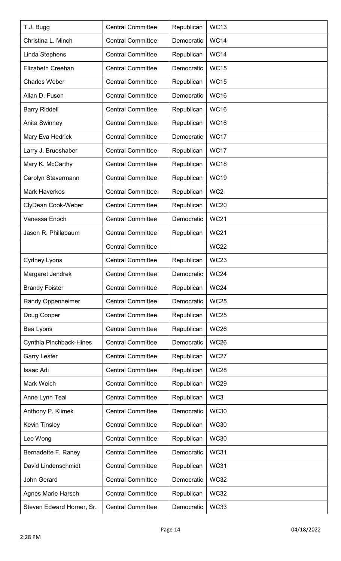| T.J. Bugg                 | <b>Central Committee</b> | Republican | <b>WC13</b>     |
|---------------------------|--------------------------|------------|-----------------|
| Christina L. Minch        | <b>Central Committee</b> | Democratic | <b>WC14</b>     |
| Linda Stephens            | <b>Central Committee</b> | Republican | <b>WC14</b>     |
| Elizabeth Creehan         | <b>Central Committee</b> | Democratic | <b>WC15</b>     |
| <b>Charles Weber</b>      | <b>Central Committee</b> | Republican | <b>WC15</b>     |
| Allan D. Fuson            | <b>Central Committee</b> | Democratic | <b>WC16</b>     |
| <b>Barry Riddell</b>      | <b>Central Committee</b> | Republican | <b>WC16</b>     |
| Anita Swinney             | <b>Central Committee</b> | Republican | <b>WC16</b>     |
| Mary Eva Hedrick          | <b>Central Committee</b> | Democratic | <b>WC17</b>     |
| Larry J. Brueshaber       | <b>Central Committee</b> | Republican | <b>WC17</b>     |
| Mary K. McCarthy          | <b>Central Committee</b> | Republican | <b>WC18</b>     |
| Carolyn Stavermann        | <b>Central Committee</b> | Republican | <b>WC19</b>     |
| <b>Mark Haverkos</b>      | <b>Central Committee</b> | Republican | WC <sub>2</sub> |
| <b>ClyDean Cook-Weber</b> | <b>Central Committee</b> | Republican | <b>WC20</b>     |
| Vanessa Enoch             | <b>Central Committee</b> | Democratic | <b>WC21</b>     |
| Jason R. Phillabaum       | <b>Central Committee</b> | Republican | <b>WC21</b>     |
|                           | <b>Central Committee</b> |            | <b>WC22</b>     |
| <b>Cydney Lyons</b>       | <b>Central Committee</b> | Republican | <b>WC23</b>     |
| Margaret Jendrek          | <b>Central Committee</b> | Democratic | <b>WC24</b>     |
| <b>Brandy Foister</b>     | <b>Central Committee</b> | Republican | <b>WC24</b>     |
| Randy Oppenheimer         | <b>Central Committee</b> | Democratic | <b>WC25</b>     |
| Doug Cooper               | <b>Central Committee</b> | Republican | <b>WC25</b>     |
| Bea Lyons                 | <b>Central Committee</b> | Republican | <b>WC26</b>     |
| Cynthia Pinchback-Hines   | <b>Central Committee</b> | Democratic | <b>WC26</b>     |
| <b>Garry Lester</b>       | <b>Central Committee</b> | Republican | <b>WC27</b>     |
| Isaac Adi                 | <b>Central Committee</b> | Republican | <b>WC28</b>     |
| Mark Welch                | <b>Central Committee</b> | Republican | <b>WC29</b>     |
| Anne Lynn Teal            | <b>Central Committee</b> | Republican | WC3             |
| Anthony P. Klimek         | <b>Central Committee</b> | Democratic | <b>WC30</b>     |
| <b>Kevin Tinsley</b>      | <b>Central Committee</b> | Republican | <b>WC30</b>     |
| Lee Wong                  | <b>Central Committee</b> | Republican | <b>WC30</b>     |
| Bernadette F. Raney       | <b>Central Committee</b> | Democratic | <b>WC31</b>     |
| David Lindenschmidt       | <b>Central Committee</b> | Republican | <b>WC31</b>     |
| John Gerard               | <b>Central Committee</b> | Democratic | <b>WC32</b>     |
| Agnes Marie Harsch        | <b>Central Committee</b> | Republican | <b>WC32</b>     |
| Steven Edward Horner, Sr. | <b>Central Committee</b> | Democratic | <b>WC33</b>     |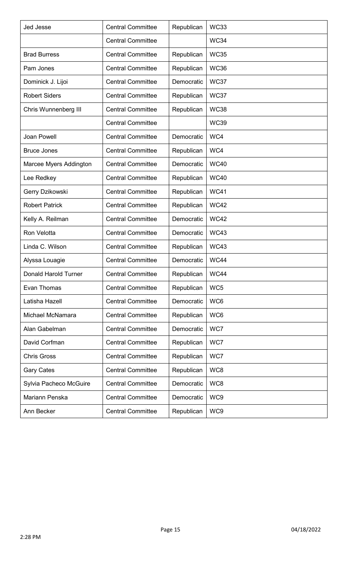| <b>Jed Jesse</b>            | <b>Central Committee</b> | Republican | <b>WC33</b>     |
|-----------------------------|--------------------------|------------|-----------------|
|                             | <b>Central Committee</b> |            | <b>WC34</b>     |
| <b>Brad Burress</b>         | <b>Central Committee</b> | Republican | <b>WC35</b>     |
| Pam Jones                   | <b>Central Committee</b> | Republican | <b>WC36</b>     |
| Dominick J. Lijoi           | <b>Central Committee</b> | Democratic | <b>WC37</b>     |
| <b>Robert Siders</b>        | <b>Central Committee</b> | Republican | <b>WC37</b>     |
| <b>Chris Wunnenberg III</b> | <b>Central Committee</b> | Republican | <b>WC38</b>     |
|                             | <b>Central Committee</b> |            | <b>WC39</b>     |
| <b>Joan Powell</b>          | <b>Central Committee</b> | Democratic | WC4             |
| <b>Bruce Jones</b>          | <b>Central Committee</b> | Republican | WC4             |
| Marcee Myers Addington      | <b>Central Committee</b> | Democratic | <b>WC40</b>     |
| Lee Redkey                  | <b>Central Committee</b> | Republican | <b>WC40</b>     |
| Gerry Dzikowski             | <b>Central Committee</b> | Republican | <b>WC41</b>     |
| <b>Robert Patrick</b>       | <b>Central Committee</b> | Republican | <b>WC42</b>     |
| Kelly A. Reilman            | <b>Central Committee</b> | Democratic | <b>WC42</b>     |
| Ron Velotta                 | <b>Central Committee</b> | Democratic | <b>WC43</b>     |
| Linda C. Wilson             | <b>Central Committee</b> | Republican | <b>WC43</b>     |
| Alyssa Louagie              | <b>Central Committee</b> | Democratic | <b>WC44</b>     |
| <b>Donald Harold Turner</b> | <b>Central Committee</b> | Republican | <b>WC44</b>     |
| Evan Thomas                 | <b>Central Committee</b> | Republican | WC <sub>5</sub> |
| Latisha Hazell              | <b>Central Committee</b> | Democratic | WC6             |
| Michael McNamara            | <b>Central Committee</b> | Republican | WC6             |
| Alan Gabelman               | <b>Central Committee</b> | Democratic | WC7             |
| David Corfman               | <b>Central Committee</b> | Republican | WC7             |
| <b>Chris Gross</b>          | <b>Central Committee</b> | Republican | WC7             |
| <b>Gary Cates</b>           | <b>Central Committee</b> | Republican | WC8             |
| Sylvia Pacheco McGuire      | <b>Central Committee</b> | Democratic | WC8             |
| Mariann Penska              | <b>Central Committee</b> | Democratic | WC9             |
| Ann Becker                  | <b>Central Committee</b> | Republican | WC9             |